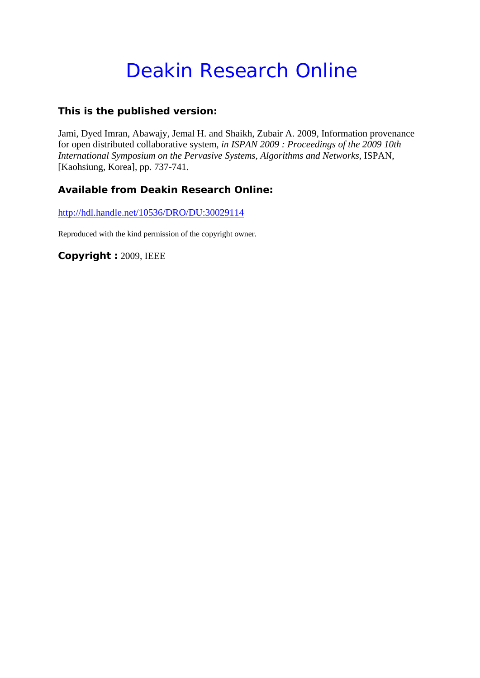# Deakin Research Online

## **This is the published version:**

Jami, Dyed Imran, Abawajy, Jemal H. and Shaikh, Zubair A. 2009, Information provenance for open distributed collaborative system*, in ISPAN 2009 : Proceedings of the 2009 10th International Symposium on the Pervasive Systems, Algorithms and Networks*, ISPAN, [Kaohsiung, Korea], pp. 737-741.

# **Available from Deakin Research Online:**

http://hdl.handle.net/10536/DRO/DU:30029114

Reproduced with the kind permission of the copyright owner.

**Copyright :** 2009, IEEE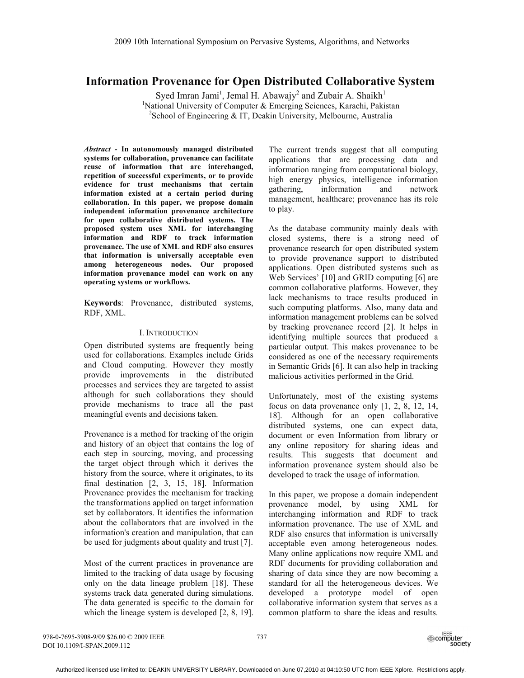## **Information Provenance for Open Distributed Collaborative System**

Syed Imran Jami<sup>1</sup>, Jemal H. Abawajy<sup>2</sup> and Zubair A. Shaikh<sup>1</sup> <sup>1</sup>National University of Computer & Emerging Sciences, Karachi, Pakistan  $2$ School of Engineering & IT, Deakin University, Melbourne, Australia

*Abstract -* **In autonomously managed distributed systems for collaboration, provenance can facilitate reuse of information that are interchanged, repetition of successful experiments, or to provide evidence for trust mechanisms that certain information existed at a certain period during collaboration. In this paper, we propose domain independent information provenance architecture for open collaborative distributed systems. The proposed system uses XML for interchanging information and RDF to track information provenance. The use of XML and RDF also ensures that information is universally acceptable even among heterogeneous nodes. Our proposed information provenance model can work on any operating systems or workflows.** 

**Keywords**: Provenance, distributed systems, RDF, XML.

#### I. INTRODUCTION

Open distributed systems are frequently being used for collaborations. Examples include Grids and Cloud computing. However they mostly provide improvements in the distributed processes and services they are targeted to assist although for such collaborations they should provide mechanisms to trace all the past meaningful events and decisions taken.

Provenance is a method for tracking of the origin and history of an object that contains the log of each step in sourcing, moving, and processing the target object through which it derives the history from the source, where it originates, to its final destination [2, 3, 15, 18]. Information Provenance provides the mechanism for tracking the transformations applied on target information set by collaborators. It identifies the information about the collaborators that are involved in the information's creation and manipulation, that can be used for judgments about quality and trust [7].

Most of the current practices in provenance are limited to the tracking of data usage by focusing only on the data lineage problem [18]. These systems track data generated during simulations. The data generated is specific to the domain for which the lineage system is developed [2, 8, 19]. The current trends suggest that all computing applications that are processing data and information ranging from computational biology, high energy physics, intelligence information gathering, information and network management, healthcare; provenance has its role to play.

As the database community mainly deals with closed systems, there is a strong need of provenance research for open distributed system to provide provenance support to distributed applications. Open distributed systems such as Web Services' [10] and GRID computing [6] are common collaborative platforms. However, they lack mechanisms to trace results produced in such computing platforms. Also, many data and information management problems can be solved by tracking provenance record [2]. It helps in identifying multiple sources that produced a particular output. This makes provenance to be considered as one of the necessary requirements in Semantic Grids [6]. It can also help in tracking malicious activities performed in the Grid.

Unfortunately, most of the existing systems focus on data provenance only [1, 2, 8, 12, 14, 18]. Although for an open collaborative distributed systems, one can expect data, document or even Information from library or any online repository for sharing ideas and results. This suggests that document and information provenance system should also be developed to track the usage of information.

In this paper, we propose a domain independent provenance model, by using XML for interchanging information and RDF to track information provenance. The use of XML and RDF also ensures that information is universally acceptable even among heterogeneous nodes. Many online applications now require XML and RDF documents for providing collaboration and sharing of data since they are now becoming a standard for all the heterogeneous devices. We developed a prototype model of open collaborative information system that serves as a common platform to share the ideas and results.

978-0-7695-3908-9/09 \$26.00 © 2009 IEEE DOI 10.1109/I-SPAN.2009.112

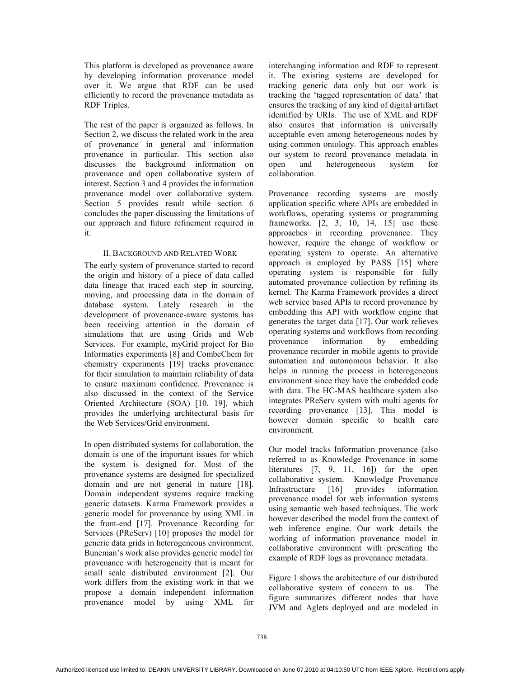This platform is developed as provenance aware by developing information provenance model over it. We argue that RDF can be used efficiently to record the provenance metadata as RDF Triples.

The rest of the paper is organized as follows. In Section 2, we discuss the related work in the area of provenance in general and information provenance in particular. This section also discusses the background information on provenance and open collaborative system of interest. Section 3 and 4 provides the information provenance model over collaborative system. Section 5 provides result while section 6 concludes the paper discussing the limitations of our approach and future refinement required in it.

## II. BACKGROUND AND RELATED WORK

The early system of provenance started to record the origin and history of a piece of data called data lineage that traced each step in sourcing, moving, and processing data in the domain of database system. Lately research in the development of provenance-aware systems has been receiving attention in the domain of simulations that are using Grids and Web Services. For example, myGrid project for Bio Informatics experiments [8] and CombeChem for chemistry experiments [19] tracks provenance for their simulation to maintain reliability of data to ensure maximum confidence. Provenance is also discussed in the context of the Service Oriented Architecture (SOA) [10, 19], which provides the underlying architectural basis for the Web Services/Grid environment.

In open distributed systems for collaboration, the domain is one of the important issues for which the system is designed for. Most of the provenance systems are designed for specialized domain and are not general in nature [18]. Domain independent systems require tracking generic datasets. Karma Framework provides a generic model for provenance by using XML in the front-end [17]. Provenance Recording for Services (PReServ) [10] proposes the model for generic data grids in heterogeneous environment. Buneman's work also provides generic model for provenance with heterogeneity that is meant for small scale distributed environment [2]. Our work differs from the existing work in that we propose a domain independent information provenance model by using XML for

interchanging information and RDF to represent it. The existing systems are developed for tracking generic data only but our work is tracking the 'tagged representation of data' that ensures the tracking of any kind of digital artifact identified by URIs. The use of XML and RDF also ensures that information is universally acceptable even among heterogeneous nodes by using common ontology. This approach enables our system to record provenance metadata in open and heterogeneous system for collaboration.

Provenance recording systems are mostly application specific where APIs are embedded in workflows, operating systems or programming frameworks. [2, 3, 10, 14, 15] use these approaches in recording provenance. They however, require the change of workflow or operating system to operate. An alternative approach is employed by PASS [15] where operating system is responsible for fully automated provenance collection by refining its kernel. The Karma Framework provides a direct web service based APIs to record provenance by embedding this API with workflow engine that generates the target data [17]. Our work relieves operating systems and workflows from recording provenance information by embedding provenance recorder in mobile agents to provide automation and autonomous behavior. It also helps in running the process in heterogeneous environment since they have the embedded code with data. The HC-MAS healthcare system also integrates PReServ system with multi agents for recording provenance [13]. This model is however domain specific to health care environment.

Our model tracks Information provenance (also referred to as Knowledge Provenance in some literatures [7, 9, 11, 16]) for the open collaborative system. Knowledge Provenance Infrastructure [16] provides information provenance model for web information systems using semantic web based techniques. The work however described the model from the context of web inference engine. Our work details the working of information provenance model in collaborative environment with presenting the example of RDF logs as provenance metadata.

Figure 1 shows the architecture of our distributed collaborative system of concern to us. The figure summarizes different nodes that have JVM and Aglets deployed and are modeled in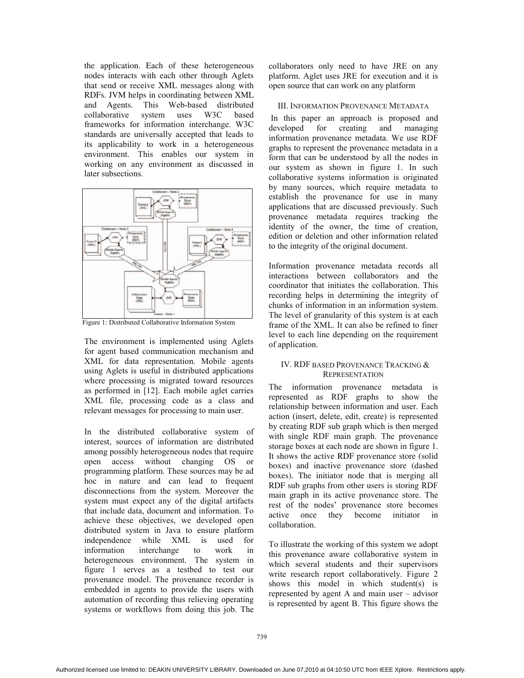the application. Each of these heterogeneous nodes interacts with each other through Aglets that send or receive XML messages along with RDFs. JVM helps in coordinating between XML and Agents. This Web-based distributed collaborative system uses W3C based frameworks for information interchange. W3C standards are universally accepted that leads to its applicability to work in a heterogeneous environment. This enables our system in working on any environment as discussed in later subsections.



Figure 1: Distributed Collaborative Information System

The environment is implemented using Aglets for agent based communication mechanism and XML for data representation. Mobile agents using Aglets is useful in distributed applications where processing is migrated toward resources as performed in [12]. Each mobile aglet carries XML file, processing code as a class and relevant messages for processing to main user.

In the distributed collaborative system of interest, sources of information are distributed among possibly heterogeneous nodes that require open access without changing OS or programming platform. These sources may be ad hoc in nature and can lead to frequent disconnections from the system. Moreover the system must expect any of the digital artifacts that include data, document and information. To achieve these objectives, we developed open distributed system in Java to ensure platform independence while XML is used for information interchange to work in heterogeneous environment. The system in figure 1 serves as a testbed to test our provenance model. The provenance recorder is embedded in agents to provide the users with automation of recording thus relieving operating systems or workflows from doing this job. The

collaborators only need to have JRE on any platform. Aglet uses JRE for execution and it is open source that can work on any platform

## III. INFORMATION PROVENANCE METADATA

In this paper an approach is proposed and developed for creating and managing information provenance metadata. We use RDF graphs to represent the provenance metadata in a form that can be understood by all the nodes in our system as shown in figure 1. In such collaborative systems information is originated by many sources, which require metadata to establish the provenance for use in many applications that are discussed previously. Such provenance metadata requires tracking the identity of the owner, the time of creation, edition or deletion and other information related to the integrity of the original document.

Information provenance metadata records all interactions between collaborators and the coordinator that initiates the collaboration. This recording helps in determining the integrity of chunks of information in an information system. The level of granularity of this system is at each frame of the XML. It can also be refined to finer level to each line depending on the requirement of application.

#### IV. RDF BASED PROVENANCE TRACKING & **REPRESENTATION**

The information provenance metadata is represented as RDF graphs to show the relationship between information and user. Each action (insert, delete, edit, create) is represented by creating RDF sub graph which is then merged with single RDF main graph. The provenance storage boxes at each node are shown in figure 1. It shows the active RDF provenance store (solid boxes) and inactive provenance store (dashed boxes). The initiator node that is merging all RDF sub graphs from other users is storing RDF main graph in its active provenance store. The rest of the nodes' provenance store becomes active once they become initiator in collaboration.

To illustrate the working of this system we adopt this provenance aware collaborative system in which several students and their supervisors write research report collaboratively. Figure 2 shows this model in which student(s) is represented by agent A and main user – advisor is represented by agent B. This figure shows the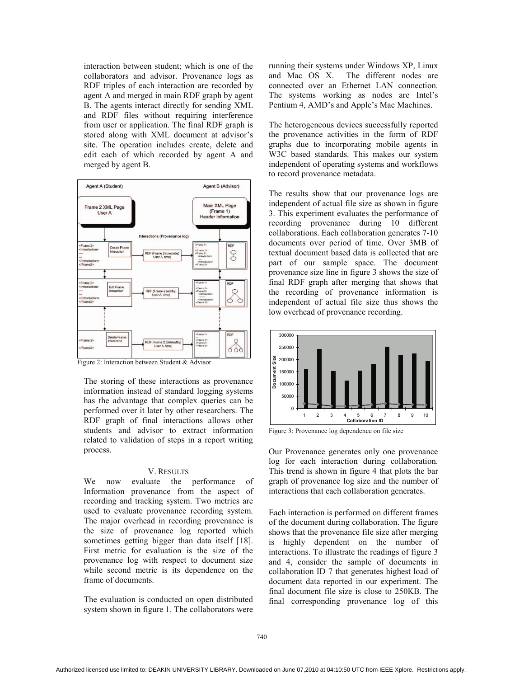interaction between student; which is one of the collaborators and advisor. Provenance logs as RDF triples of each interaction are recorded by agent A and merged in main RDF graph by agent B. The agents interact directly for sending XML and RDF files without requiring interference from user or application. The final RDF graph is stored along with XML document at advisor's site. The operation includes create, delete and edit each of which recorded by agent A and merged by agent B.



Figure 2: Interaction between Student & Advisor

The storing of these interactions as provenance information instead of standard logging systems has the advantage that complex queries can be performed over it later by other researchers. The RDF graph of final interactions allows other students and advisor to extract information related to validation of steps in a report writing process.

#### V. RESULTS

We now evaluate the performance of Information provenance from the aspect of recording and tracking system. Two metrics are used to evaluate provenance recording system. The major overhead in recording provenance is the size of provenance log reported which sometimes getting bigger than data itself [18]. First metric for evaluation is the size of the provenance log with respect to document size while second metric is its dependence on the frame of documents.

The evaluation is conducted on open distributed system shown in figure 1. The collaborators were

running their systems under Windows XP, Linux and Mac OS X. The different nodes are connected over an Ethernet LAN connection. The systems working as nodes are Intel's Pentium 4, AMD's and Apple's Mac Machines.

The heterogeneous devices successfully reported the provenance activities in the form of RDF graphs due to incorporating mobile agents in W3C based standards. This makes our system independent of operating systems and workflows to record provenance metadata.

The results show that our provenance logs are independent of actual file size as shown in figure 3. This experiment evaluates the performance of recording provenance during 10 different collaborations. Each collaboration generates 7-10 documents over period of time. Over 3MB of textual document based data is collected that are part of our sample space. The document provenance size line in figure 3 shows the size of final RDF graph after merging that shows that the recording of provenance information is independent of actual file size thus shows the low overhead of provenance recording.



Figure 3: Provenance log dependence on file size

Our Provenance generates only one provenance log for each interaction during collaboration. This trend is shown in figure 4 that plots the bar graph of provenance log size and the number of interactions that each collaboration generates.

Each interaction is performed on different frames of the document during collaboration. The figure shows that the provenance file size after merging is highly dependent on the number of interactions. To illustrate the readings of figure 3 and 4, consider the sample of documents in collaboration ID 7 that generates highest load of document data reported in our experiment. The final document file size is close to 250KB. The final corresponding provenance log of this